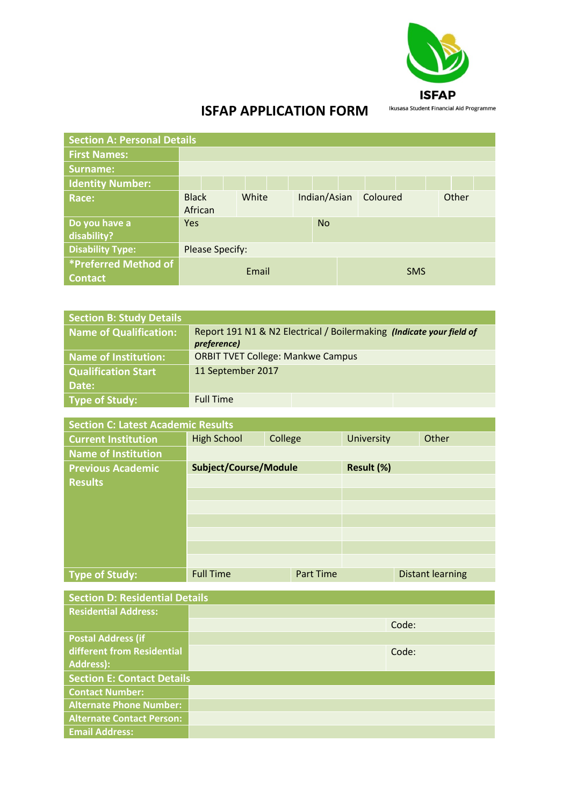

## **ISFAP APPLICATION FORM**

| <b>Section A: Personal Details</b>     |                         |       |              |          |            |
|----------------------------------------|-------------------------|-------|--------------|----------|------------|
| <b>First Names:</b>                    |                         |       |              |          |            |
| Surname:                               |                         |       |              |          |            |
| <b>Identity Number:</b>                |                         |       |              |          |            |
| Race:                                  | <b>Black</b><br>African | White | Indian/Asian | Coloured | Other      |
| Do you have a<br>disability?           | Yes                     |       | <b>No</b>    |          |            |
| <b>Disability Type:</b>                | <b>Please Specify:</b>  |       |              |          |            |
| *Preferred Method of<br><b>Contact</b> | Email                   |       |              |          | <b>SMS</b> |

| <b>Section B: Study Details</b> |                                                                      |
|---------------------------------|----------------------------------------------------------------------|
| <b>Name of Qualification:</b>   | Report 191 N1 & N2 Electrical / Boilermaking (Indicate your field of |
|                                 | preference)                                                          |
| Name of Institution:            | <b>ORBIT TVET College: Mankwe Campus</b>                             |
| <b>Qualification Start</b>      | 11 September 2017                                                    |
| Date:                           |                                                                      |
| <b>Type of Study:</b>           | <b>Full Time</b>                                                     |

| <b>Section C: Latest Academic Results</b> |                              |                  |            |  |                         |
|-------------------------------------------|------------------------------|------------------|------------|--|-------------------------|
| <b>Current Institution</b>                | <b>High School</b>           | College          | University |  | Other                   |
| <b>Name of Institution</b>                |                              |                  |            |  |                         |
| <b>Previous Academic</b>                  | <b>Subject/Course/Module</b> |                  | Result (%) |  |                         |
| <b>Results</b>                            |                              |                  |            |  |                         |
|                                           |                              |                  |            |  |                         |
|                                           |                              |                  |            |  |                         |
|                                           |                              |                  |            |  |                         |
|                                           |                              |                  |            |  |                         |
|                                           |                              |                  |            |  |                         |
|                                           |                              |                  |            |  |                         |
| Type of Study:                            | <b>Full Time</b>             | <b>Part Time</b> |            |  | <b>Distant learning</b> |

| <b>Section D: Residential Details</b> |  |       |  |  |
|---------------------------------------|--|-------|--|--|
| <b>Residential Address:</b>           |  |       |  |  |
|                                       |  | Code: |  |  |
| <b>Postal Address (if</b>             |  |       |  |  |
| different from Residential            |  | Code: |  |  |
| <b>Address):</b>                      |  |       |  |  |
| <b>Section E: Contact Details</b>     |  |       |  |  |
| <b>Contact Number:</b>                |  |       |  |  |
| <b>Alternate Phone Number:</b>        |  |       |  |  |
| <b>Alternate Contact Person:</b>      |  |       |  |  |
| <b>Email Address:</b>                 |  |       |  |  |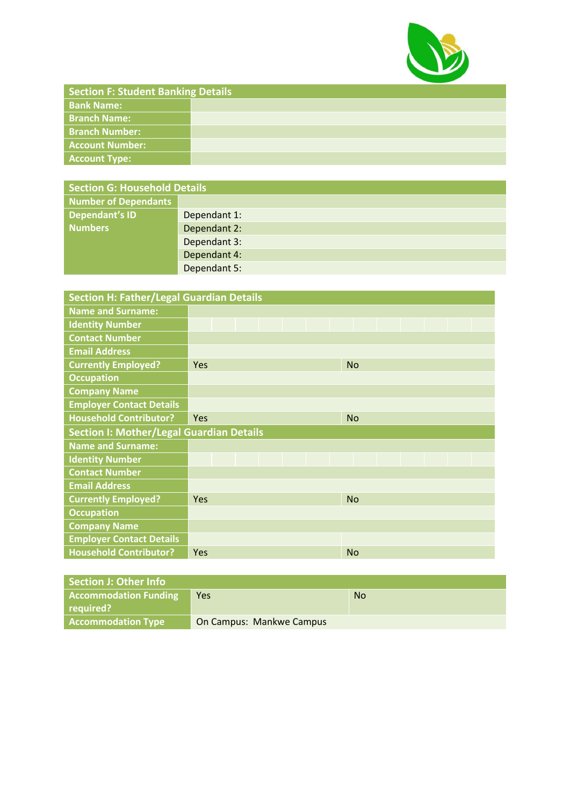

| <b>Section F: Student Banking Details</b> |  |  |  |  |
|-------------------------------------------|--|--|--|--|
| <b>Bank Name:</b>                         |  |  |  |  |
| <b>Branch Name:</b>                       |  |  |  |  |
| <b>Branch Number:</b>                     |  |  |  |  |
| <b>Account Number:</b>                    |  |  |  |  |
| Account Type:                             |  |  |  |  |

| <b>Section G: Household Details</b> |              |  |  |  |
|-------------------------------------|--------------|--|--|--|
| <b>Number of Dependants</b>         |              |  |  |  |
| Dependant's ID                      | Dependant 1: |  |  |  |
| <b>Numbers</b>                      | Dependant 2: |  |  |  |
|                                     | Dependant 3: |  |  |  |
|                                     | Dependant 4: |  |  |  |
|                                     | Dependant 5: |  |  |  |

| <b>Section H: Father/Legal Guardian Details</b> |                                                 |  |  |  |  |
|-------------------------------------------------|-------------------------------------------------|--|--|--|--|
| <b>Name and Surname:</b>                        |                                                 |  |  |  |  |
| <b>Identity Number</b>                          |                                                 |  |  |  |  |
| <b>Contact Number</b>                           |                                                 |  |  |  |  |
| <b>Email Address</b>                            |                                                 |  |  |  |  |
| <b>Currently Employed?</b>                      | <b>Yes</b><br><b>No</b>                         |  |  |  |  |
| <b>Occupation</b>                               |                                                 |  |  |  |  |
| <b>Company Name</b>                             |                                                 |  |  |  |  |
| <b>Employer Contact Details</b>                 |                                                 |  |  |  |  |
| <b>Household Contributor?</b>                   | Yes<br><b>No</b>                                |  |  |  |  |
|                                                 | <b>Section I: Mother/Legal Guardian Details</b> |  |  |  |  |
| Name and Surname:                               |                                                 |  |  |  |  |
| <b>Identity Number</b>                          |                                                 |  |  |  |  |
| <b>Contact Number</b>                           |                                                 |  |  |  |  |
| <b>Email Address</b>                            |                                                 |  |  |  |  |
| <b>Currently Employed?</b>                      | <b>No</b><br><b>Yes</b>                         |  |  |  |  |
| <b>Occupation</b>                               |                                                 |  |  |  |  |
| <b>Company Name</b>                             |                                                 |  |  |  |  |
| <b>Employer Contact Details</b>                 |                                                 |  |  |  |  |
|                                                 |                                                 |  |  |  |  |

| Section J: Other Info        |                                 |           |
|------------------------------|---------------------------------|-----------|
| <b>Accommodation Funding</b> | <b>Yes</b>                      | <b>No</b> |
| required?                    |                                 |           |
| <b>Accommodation Type</b>    | <b>On Campus: Mankwe Campus</b> |           |